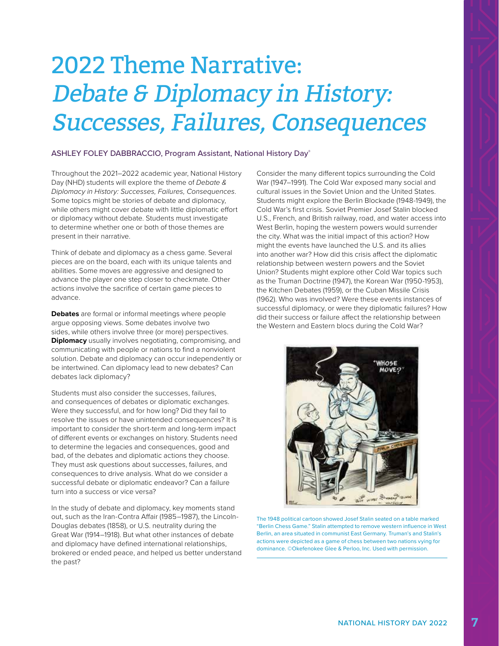## 2022 Theme Narrative: Debate & Diplomacy in History: Successes, Failures, Consequences

## ASHLEY FOLEY DABBRACCIO, Program Assistant, National History Day®

Throughout the 2021–2022 academic year, National History Day (NHD) students will explore the theme of *Debate & Diplomacy in History: Successes, Failures, Consequences*. Some topics might be stories of debate and diplomacy, while others might cover debate with little diplomatic effort or diplomacy without debate. Students must investigate to determine whether one or both of those themes are present in their narrative.

Think of debate and diplomacy as a chess game. Several pieces are on the board, each with its unique talents and abilities. Some moves are aggressive and designed to advance the player one step closer to checkmate. Other actions involve the sacrifice of certain game pieces to advance.

**Debates** are formal or informal meetings where people argue opposing views. Some debates involve two sides, while others involve three (or more) perspectives. **Diplomacy** usually involves negotiating, compromising, and communicating with people or nations to find a nonviolent solution. Debate and diplomacy can occur independently or be intertwined. Can diplomacy lead to new debates? Can debates lack diplomacy?

Students must also consider the successes, failures, and consequences of debates or diplomatic exchanges. Were they successful, and for how long? Did they fail to resolve the issues or have unintended consequences? It is important to consider the short-term and long-term impact of different events or exchanges on history. Students need to determine the legacies and consequences, good and bad, of the debates and diplomatic actions they choose. They must ask questions about successes, failures, and consequences to drive analysis. What do we consider a successful debate or diplomatic endeavor? Can a failure turn into a success or vice versa?

In the study of debate and diplomacy, key moments stand out, such as the Iran-Contra Affair (1985–1987), the Lincoln-Douglas debates (1858), or U.S. neutrality during the Great War (1914–1918). But what other instances of debate and diplomacy have defined international relationships, brokered or ended peace, and helped us better understand the past?

Consider the many different topics surrounding the Cold War (1947–1991). The Cold War exposed many social and cultural issues in the Soviet Union and the United States. Students might explore the Berlin Blockade (1948-1949), the Cold War's first crisis. Soviet Premier Josef Stalin blocked U.S., French, and British railway, road, and water access into West Berlin, hoping the western powers would surrender the city. What was the initial impact of this action? How might the events have launched the U.S. and its allies into another war? How did this crisis affect the diplomatic relationship between western powers and the Soviet Union? Students might explore other Cold War topics such as the Truman Doctrine (1947), the Korean War (1950-1953), the Kitchen Debates (1959), or the Cuban Missile Crisis (1962). Who was involved? Were these events instances of successful diplomacy, or were they diplomatic failures? How did their success or failure affect the relationship between the Western and Eastern blocs during the Cold War?



The 1948 political cartoon showed Josef Stalin seated on a table marked "Berlin Chess Game." Stalin attempted to remove western influence in West Berlin, an area situated in communist East Germany. Truman's and Stalin's actions were depicted as a game of chess between two nations vying for dominance. ©Okefenokee Glee & Perloo, Inc. Used with permission.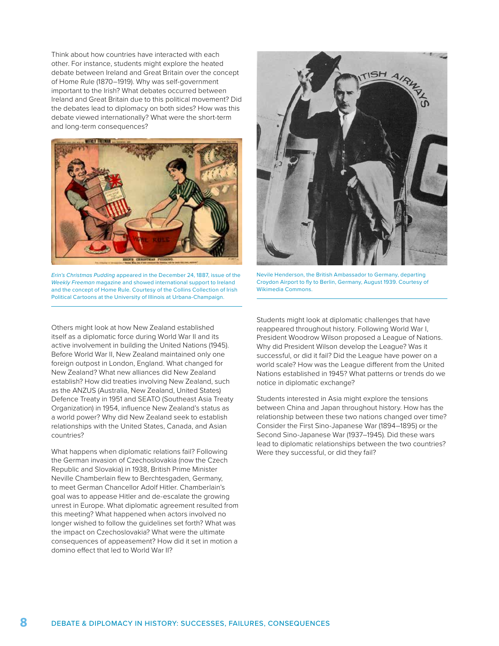Think about how countries have interacted with each other. For instance, students might explore the heated debate between Ireland and Great Britain over the concept of Home Rule (1870–1919). Why was self-government important to the Irish? What debates occurred between Ireland and Great Britain due to this political movement? Did the debates lead to diplomacy on both sides? How was this debate viewed internationally? What were the short-term and long-term consequences?



*Erin's Christmas Pudding* appeared in the December 24, 1887, issue of the *Weekly Freeman* magazine and showed international support to Ireland and the concept of Home Rule. Courtesy of the Collins Collection of Irish Political Cartoons at the University of Illinois at Urbana-Champaign.

Others might look at how New Zealand established itself as a diplomatic force during World War II and its active involvement in building the United Nations (1945). Before World War II, New Zealand maintained only one foreign outpost in London, England. What changed for New Zealand? What new alliances did New Zealand establish? How did treaties involving New Zealand, such as the ANZUS (Australia, New Zealand, United States) Defence Treaty in 1951 and SEATO (Southeast Asia Treaty Organization) in 1954, influence New Zealand's status as a world power? Why did New Zealand seek to establish relationships with the United States, Canada, and Asian countries?

What happens when diplomatic relations fail? Following the German invasion of Czechoslovakia (now the Czech Republic and Slovakia) in 1938, British Prime Minister Neville Chamberlain flew to Berchtesgaden, Germany, to meet German Chancellor Adolf Hitler. Chamberlain's goal was to appease Hitler and de-escalate the growing unrest in Europe. What diplomatic agreement resulted from this meeting? What happened when actors involved no longer wished to follow the guidelines set forth? What was the impact on Czechoslovakia? What were the ultimate consequences of appeasement? How did it set in motion a domino effect that led to World War II?



Nevile Henderson, the British Ambassador to Germany, departing Croydon Airport to fly to Berlin, Germany, August 1939. Courtesy of Wikimedia Commons.

Students might look at diplomatic challenges that have reappeared throughout history. Following World War I, President Woodrow Wilson proposed a League of Nations. Why did President Wilson develop the League? Was it successful, or did it fail? Did the League have power on a world scale? How was the League different from the United Nations established in 1945? What patterns or trends do we notice in diplomatic exchange?

Students interested in Asia might explore the tensions between China and Japan throughout history. How has the relationship between these two nations changed over time? Consider the First Sino-Japanese War (1894–1895) or the Second Sino-Japanese War (1937–1945). Did these wars lead to diplomatic relationships between the two countries? Were they successful, or did they fail?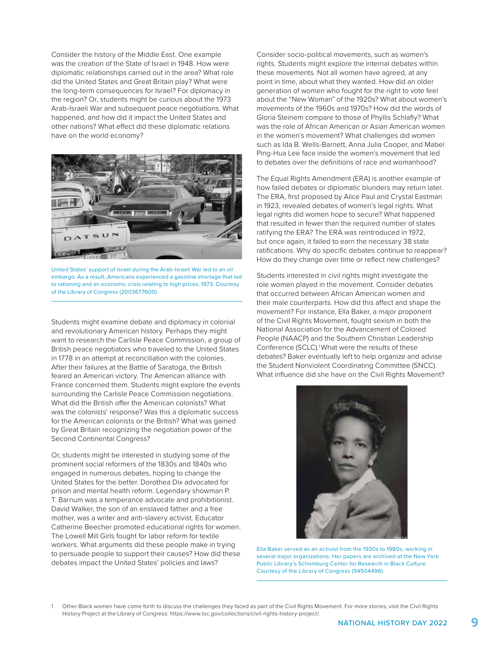Consider the history of the Middle East. One example was the creation of the State of Israel in 1948. How were diplomatic relationships carried out in the area? What role did the United States and Great Britain play? What were the long-term consequences for Israel? For diplomacy in the region? Or, students might be curious about the 1973 Arab-Israeli War and subsequent peace negotiations. What happened, and how did it impact the United States and other nations? What effect did these diplomatic relations have on the world economy?



United States' support of Israel during the Arab-Israeli War led to an oil embargo. As a result, Americans experienced a gasoline shortage that led to rationing and an economic crisis relating to high prices, 1973. Courtesy of the Library of Congress (2003677600).

Students might examine debate and diplomacy in colonial and revolutionary American history. Perhaps they might want to research the Carlisle Peace Commission, a group of British peace negotiators who traveled to the United States in 1778 in an attempt at reconciliation with the colonies. After their failures at the Battle of Saratoga, the British feared an American victory. The American alliance with France concerned them. Students might explore the events surrounding the Carlisle Peace Commission negotiations. What did the British offer the American colonists? What was the colonists' response? Was this a diplomatic success for the American colonists or the British? What was gained by Great Britain recognizing the negotiation power of the Second Continental Congress?

Or, students might be interested in studying some of the prominent social reformers of the 1830s and 1840s who engaged in numerous debates, hoping to change the United States for the better. Dorothea Dix advocated for prison and mental health reform. Legendary showman P. T. Barnum was a temperance advocate and prohibitionist. David Walker, the son of an enslaved father and a free mother, was a writer and anti-slavery activist. Educator Catherine Beecher promoted educational rights for women. The Lowell Mill Girls fought for labor reform for textile workers. What arguments did these people make in trying to persuade people to support their causes? How did these debates impact the United States' policies and laws?

Consider socio-political movements, such as women's rights. Students might explore the internal debates within these movements. Not all women have agreed, at any point in time, about what they wanted. How did an older generation of women who fought for the right to vote feel about the "New Woman" of the 1920s? What about women's movements of the 1960s and 1970s? How did the words of Gloria Steinem compare to those of Phyllis Schlafly? What was the role of African American or Asian American women in the women's movement? What challenges did women such as Ida B. Wells-Barnett, Anna Julia Cooper, and Mabel Ping-Hua Lee face inside the women's movement that led to debates over the definitions of race and womanhood?

The Equal Rights Amendment (ERA) is another example of how failed debates or diplomatic blunders may return later. The ERA, first proposed by Alice Paul and Crystal Eastman in 1923, revealed debates of women's legal rights. What legal rights did women hope to secure? What happened that resulted in fewer than the required number of states ratifying the ERA? The ERA was reintroduced in 1972, but once again, it failed to earn the necessary 38 state ratifications. Why do specific debates continue to reappear? How do they change over time or reflect new challenges?

Students interested in civil rights might investigate the role women played in the movement. Consider debates that occurred between African American women and their male counterparts. How did this affect and shape the movement? For instance, Ella Baker, a major proponent of the Civil Rights Movement, fought sexism in both the National Association for the Advancement of Colored People (NAACP) and the Southern Christian Leadership Conference (SCLC).<sup>1</sup> What were the results of these debates? Baker eventually left to help organize and advise the Student Nonviolent Coordinating Committee (SNCC). What influence did she have on the Civil Rights Movement?



Ella Baker served as an activist from the 1930s to 1980s, working in several major organizations. Her papers are archived at the New York Public Library's Schomburg Center for Research in Black Culture. Courtesy of the Library of Congress (94504496).

1 Other Black women have come forth to discuss the challenges they faced as part of the Civil Rights Movement. For more stories, visit the Civil Rights History Project at the Library of Congress: <https://www.loc.gov/collections/civil-rights-history-project/>.